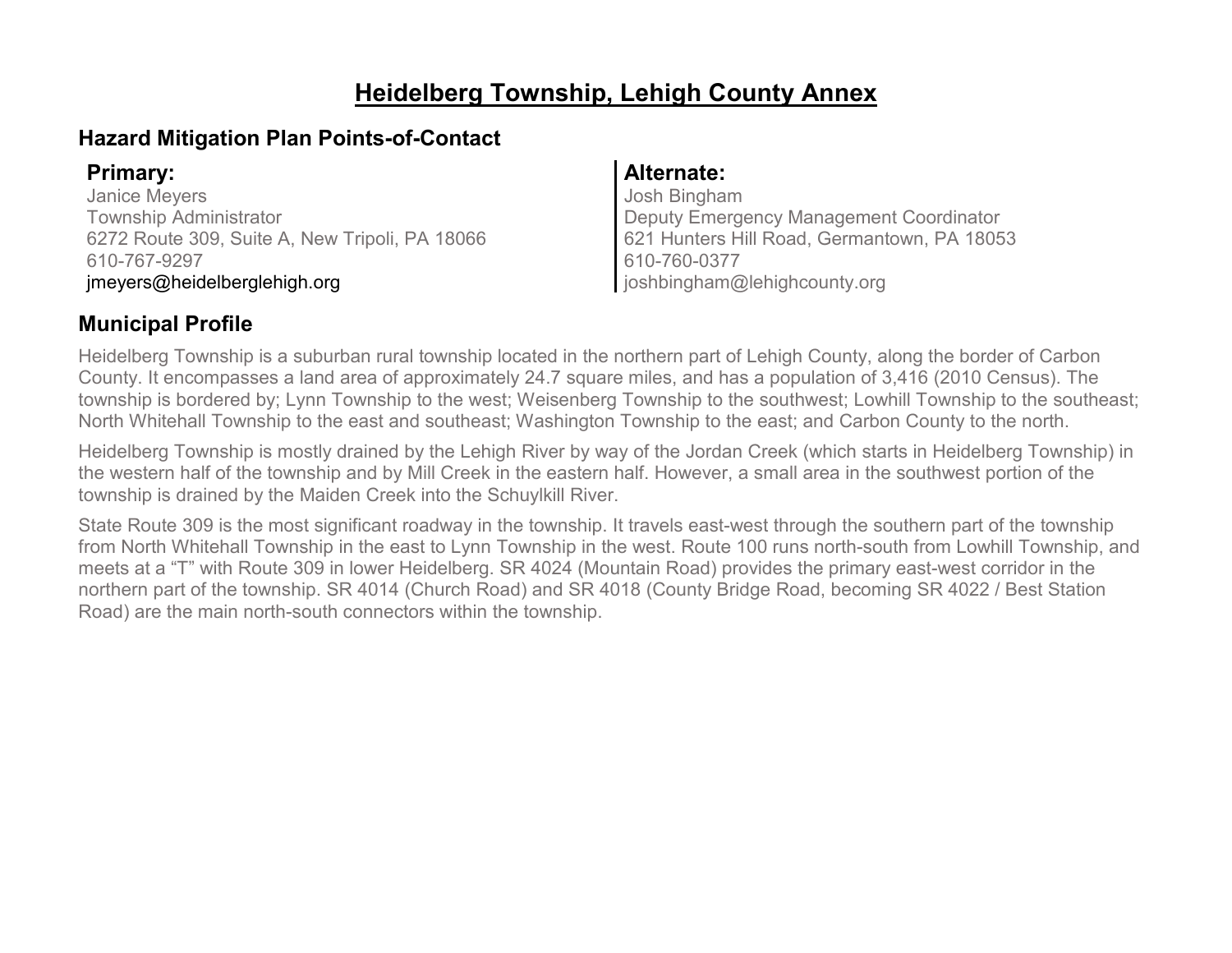# **Heidelberg Township, Lehigh County Annex**

## **Hazard Mitigation Plan Points-of-Contact**

Janice Meyers Township Administrator 6272 Route 309, Suite A, New Tripoli, PA 18066 610-767-9297 jmeyers@heidelberglehigh.org

### **Primary: Alternate:**

Josh Bingham Deputy Emergency Management Coordinator 621 Hunters Hill Road, Germantown, PA 18053 610-760-0377 joshbingham@lehighcounty.org

# **Municipal Profile**

Heidelberg Township is a suburban rural township located in the northern part of Lehigh County, along the border of Carbon County. It encompasses a land area of approximately 24.7 square miles, and has a population of 3,416 (2010 Census). The township is bordered by; Lynn Township to the west; Weisenberg Township to the southwest; Lowhill Township to the southeast; North Whitehall Township to the east and southeast; Washington Township to the east; and Carbon County to the north.

Heidelberg Township is mostly drained by the Lehigh River by way of the Jordan Creek (which starts in Heidelberg Township) in the western half of the township and by Mill Creek in the eastern half. However, a small area in the southwest portion of the township is drained by the Maiden Creek into the Schuylkill River.

State Route 309 is the most significant roadway in the township. It travels east-west through the southern part of the township from North Whitehall Township in the east to Lynn Township in the west. Route 100 runs north-south from Lowhill Township, and meets at a "T" with Route 309 in lower Heidelberg. SR 4024 (Mountain Road) provides the primary east-west corridor in the northern part of the township. SR 4014 (Church Road) and SR 4018 (County Bridge Road, becoming SR 4022 / Best Station Road) are the main north-south connectors within the township.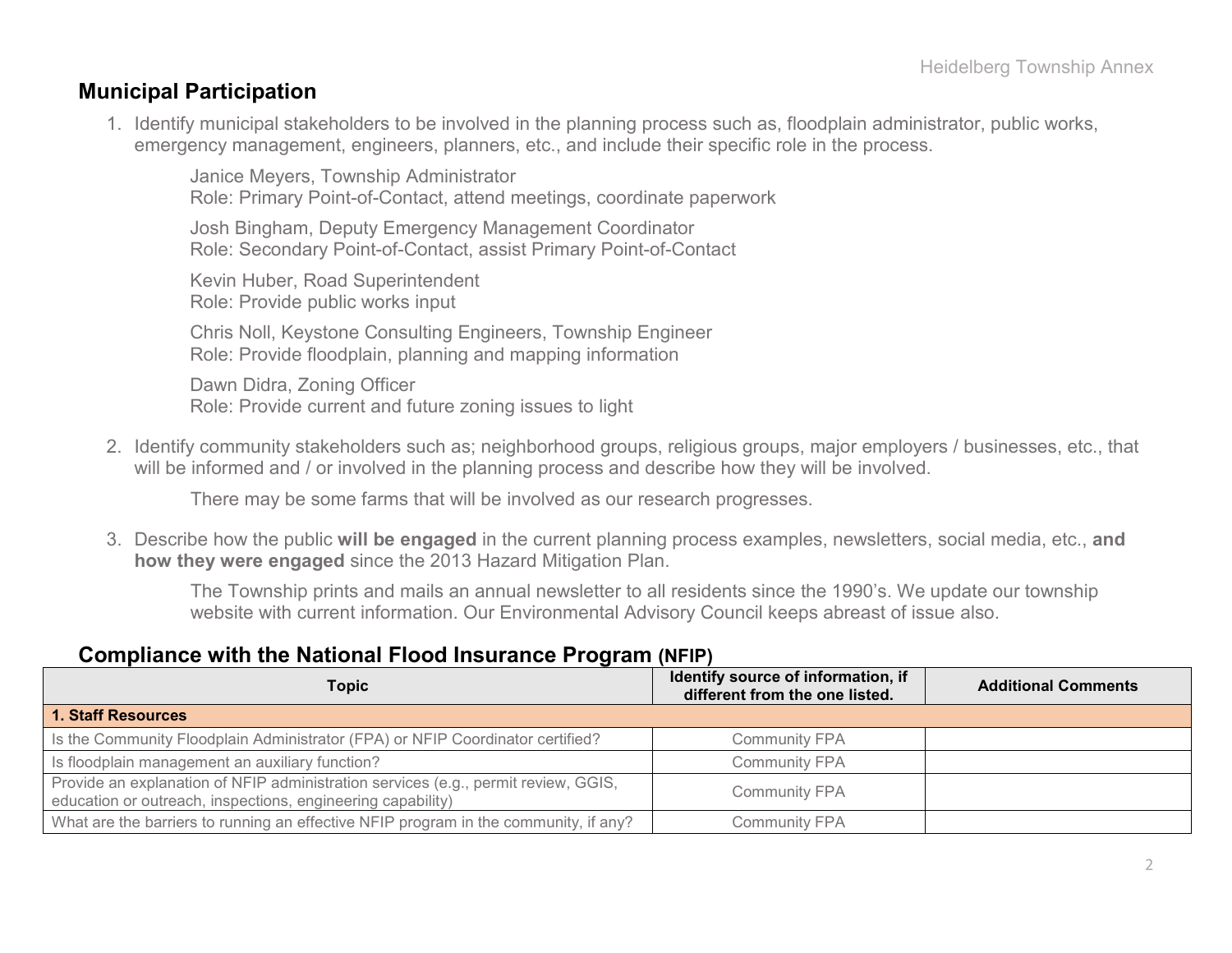### **Municipal Participation**

1. Identify municipal stakeholders to be involved in the planning process such as, floodplain administrator, public works, emergency management, engineers, planners, etc., and include their specific role in the process.

Janice Meyers, Township Administrator Role: Primary Point-of-Contact, attend meetings, coordinate paperwork

Josh Bingham, Deputy Emergency Management Coordinator Role: Secondary Point-of-Contact, assist Primary Point-of-Contact

Kevin Huber, Road Superintendent Role: Provide public works input

Chris Noll, Keystone Consulting Engineers, Township Engineer Role: Provide floodplain, planning and mapping information

Dawn Didra, Zoning Officer Role: Provide current and future zoning issues to light

2. Identify community stakeholders such as; neighborhood groups, religious groups, major employers / businesses, etc., that will be informed and / or involved in the planning process and describe how they will be involved.

There may be some farms that will be involved as our research progresses.

3. Describe how the public **will be engaged** in the current planning process examples, newsletters, social media, etc., **and how they were engaged** since the 2013 Hazard Mitigation Plan.

The Township prints and mails an annual newsletter to all residents since the 1990's. We update our township website with current information. Our Environmental Advisory Council keeps abreast of issue also.

### **Compliance with the National Flood Insurance Program (NFIP)**

| Topic                                                                                                                                             | Identify source of information, if<br>different from the one listed. | <b>Additional Comments</b> |
|---------------------------------------------------------------------------------------------------------------------------------------------------|----------------------------------------------------------------------|----------------------------|
| 1. Staff Resources                                                                                                                                |                                                                      |                            |
| Is the Community Floodplain Administrator (FPA) or NFIP Coordinator certified?                                                                    | <b>Community FPA</b>                                                 |                            |
| Is floodplain management an auxiliary function?                                                                                                   | <b>Community FPA</b>                                                 |                            |
| Provide an explanation of NFIP administration services (e.g., permit review, GGIS,<br>education or outreach, inspections, engineering capability) | <b>Community FPA</b>                                                 |                            |
| What are the barriers to running an effective NFIP program in the community, if any?                                                              | <b>Community FPA</b>                                                 |                            |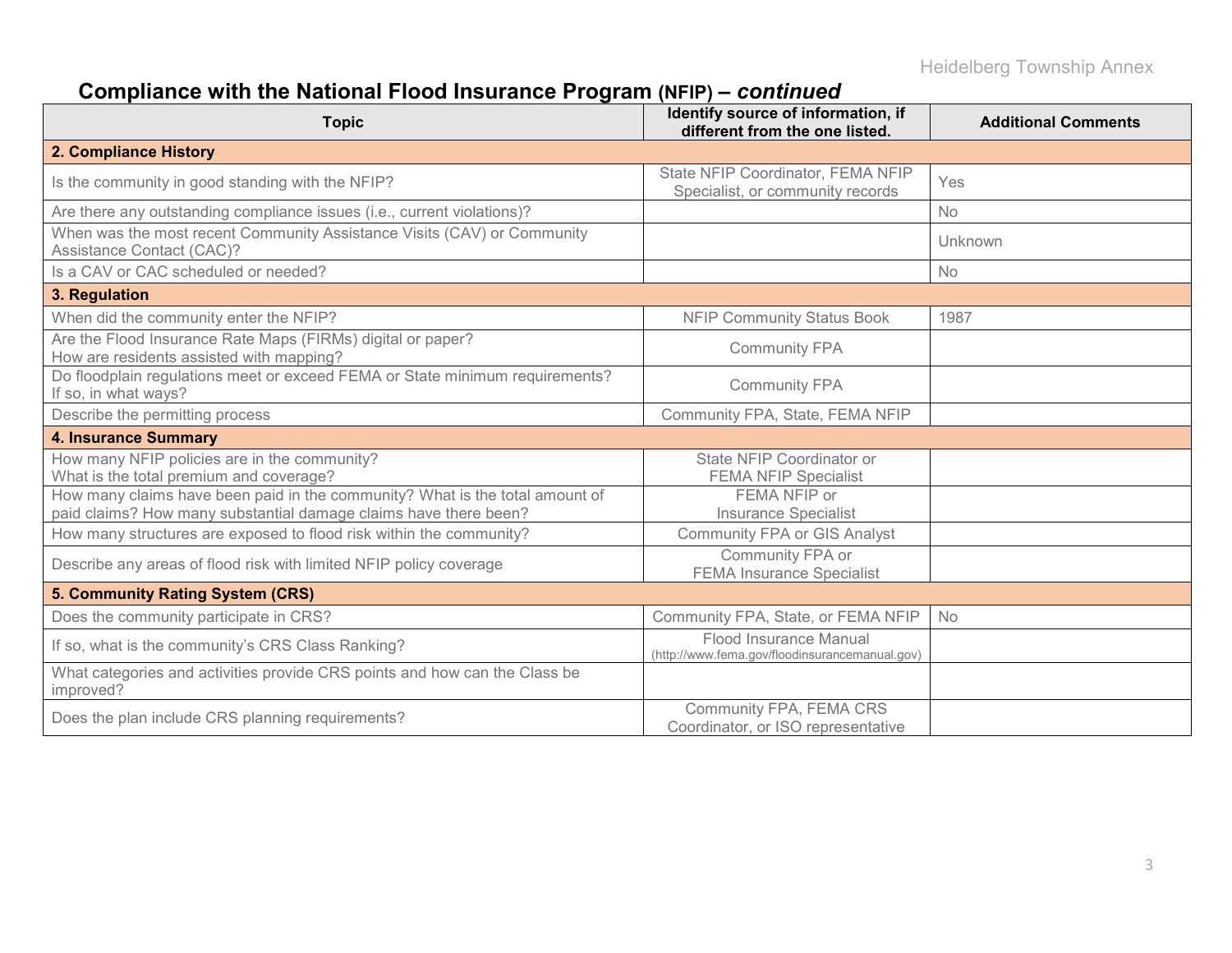# **Compliance with the National Flood Insurance Program (NFIP) –** *continued*

| <b>Topic</b>                                                                                                                                     | Identify source of information, if<br>different from the one listed.     | <b>Additional Comments</b> |
|--------------------------------------------------------------------------------------------------------------------------------------------------|--------------------------------------------------------------------------|----------------------------|
| 2. Compliance History                                                                                                                            |                                                                          |                            |
| Is the community in good standing with the NFIP?                                                                                                 | State NFIP Coordinator, FEMA NFIP<br>Specialist, or community records    | Yes                        |
| Are there any outstanding compliance issues (i.e., current violations)?                                                                          |                                                                          | <b>No</b>                  |
| When was the most recent Community Assistance Visits (CAV) or Community<br>Assistance Contact (CAC)?                                             |                                                                          | Unknown                    |
| Is a CAV or CAC scheduled or needed?                                                                                                             |                                                                          | No                         |
| 3. Regulation                                                                                                                                    |                                                                          |                            |
| When did the community enter the NFIP?                                                                                                           | <b>NFIP Community Status Book</b>                                        | 1987                       |
| Are the Flood Insurance Rate Maps (FIRMs) digital or paper?<br>How are residents assisted with mapping?                                          | <b>Community FPA</b>                                                     |                            |
| Do floodplain regulations meet or exceed FEMA or State minimum requirements?<br>If so, in what ways?                                             | <b>Community FPA</b>                                                     |                            |
| Describe the permitting process                                                                                                                  | Community FPA, State, FEMA NFIP                                          |                            |
| <b>4. Insurance Summary</b>                                                                                                                      |                                                                          |                            |
| How many NFIP policies are in the community?<br>What is the total premium and coverage?                                                          | State NFIP Coordinator or<br><b>FEMA NFIP Specialist</b>                 |                            |
| How many claims have been paid in the community? What is the total amount of<br>paid claims? How many substantial damage claims have there been? | FEMA NFIP or<br><b>Insurance Specialist</b>                              |                            |
| How many structures are exposed to flood risk within the community?                                                                              | <b>Community FPA or GIS Analyst</b>                                      |                            |
| Describe any areas of flood risk with limited NFIP policy coverage                                                                               | Community FPA or<br><b>FEMA Insurance Specialist</b>                     |                            |
| 5. Community Rating System (CRS)                                                                                                                 |                                                                          |                            |
| Does the community participate in CRS?                                                                                                           | Community FPA, State, or FEMA NFIP                                       | <b>No</b>                  |
| If so, what is the community's CRS Class Ranking?                                                                                                | Flood Insurance Manual<br>(http://www.fema.gov/floodinsurancemanual.gov) |                            |
| What categories and activities provide CRS points and how can the Class be<br>improved?                                                          |                                                                          |                            |
| Does the plan include CRS planning requirements?                                                                                                 | Community FPA, FEMA CRS<br>Coordinator, or ISO representative            |                            |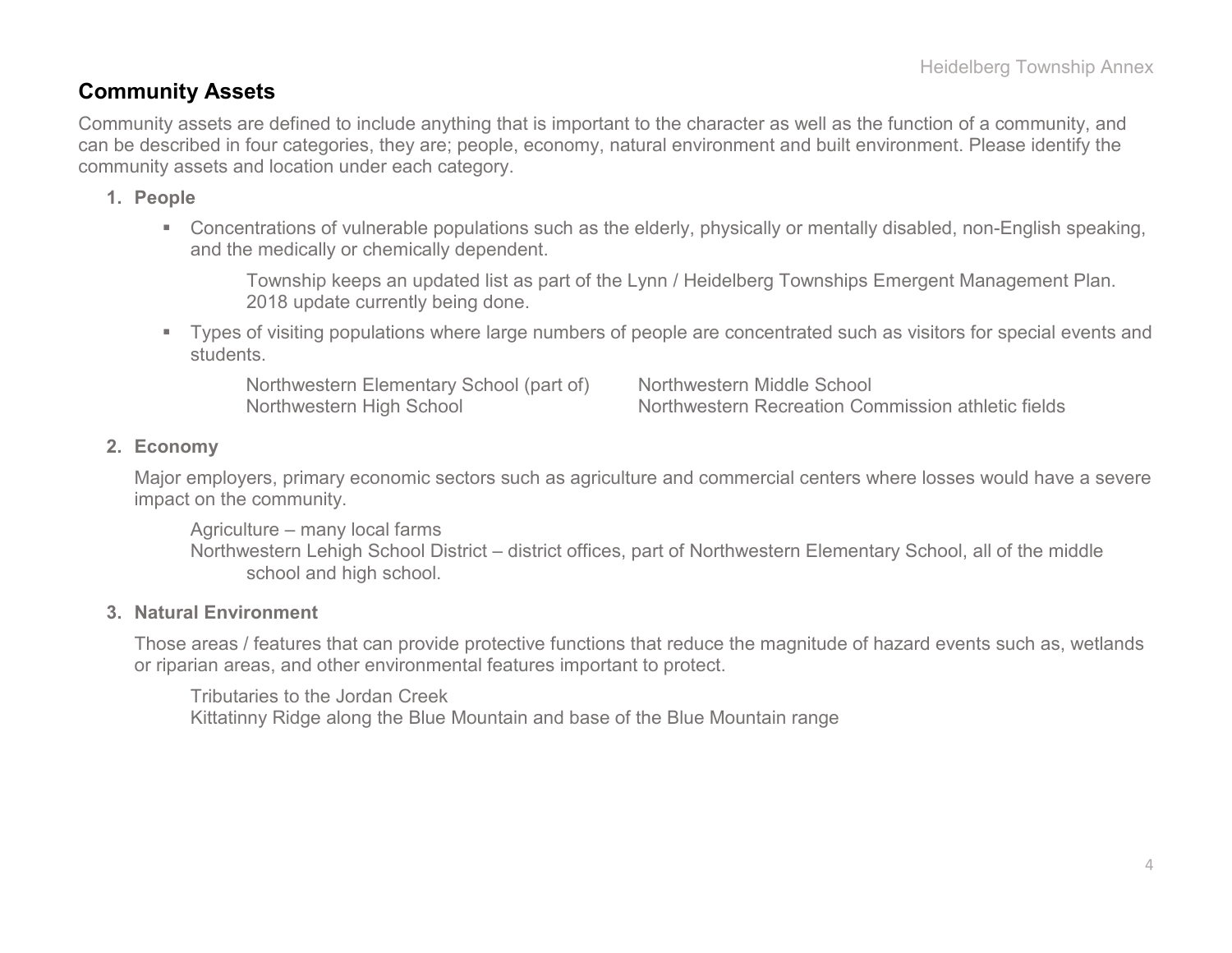### **Community Assets**

Community assets are defined to include anything that is important to the character as well as the function of a community, and can be described in four categories, they are; people, economy, natural environment and built environment. Please identify the community assets and location under each category.

### **1. People**

 Concentrations of vulnerable populations such as the elderly, physically or mentally disabled, non-English speaking, and the medically or chemically dependent.

Township keeps an updated list as part of the Lynn / Heidelberg Townships Emergent Management Plan. 2018 update currently being done.

 Types of visiting populations where large numbers of people are concentrated such as visitors for special events and students.

Northwestern Elementary School (part of) Northwestern Middle School

Northwestern High School Northwestern Recreation Commission athletic fields

### **2. Economy**

Major employers, primary economic sectors such as agriculture and commercial centers where losses would have a severe impact on the community.

Agriculture – many local farms Northwestern Lehigh School District – district offices, part of Northwestern Elementary School, all of the middle school and high school.

#### **3. Natural Environment**

Those areas / features that can provide protective functions that reduce the magnitude of hazard events such as, wetlands or riparian areas, and other environmental features important to protect.

Tributaries to the Jordan Creek Kittatinny Ridge along the Blue Mountain and base of the Blue Mountain range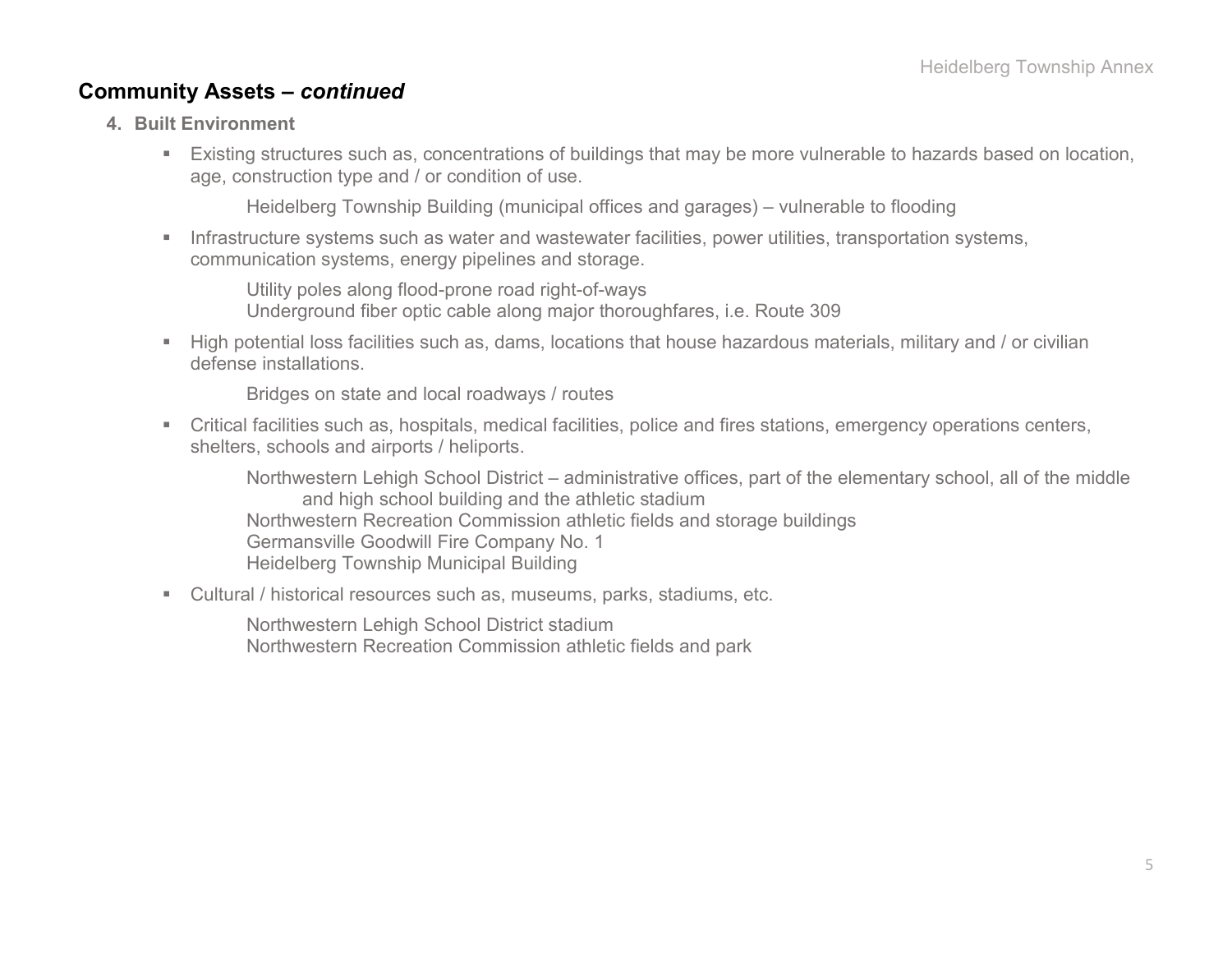### **Community Assets –** *continued*

- **4. Built Environment**
	- Existing structures such as, concentrations of buildings that may be more vulnerable to hazards based on location, age, construction type and / or condition of use.

Heidelberg Township Building (municipal offices and garages) – vulnerable to flooding

 Infrastructure systems such as water and wastewater facilities, power utilities, transportation systems, communication systems, energy pipelines and storage.

Utility poles along flood-prone road right-of-ways Underground fiber optic cable along major thoroughfares, i.e. Route 309

 High potential loss facilities such as, dams, locations that house hazardous materials, military and / or civilian defense installations.

Bridges on state and local roadways / routes

 Critical facilities such as, hospitals, medical facilities, police and fires stations, emergency operations centers, shelters, schools and airports / heliports.

Northwestern Lehigh School District – administrative offices, part of the elementary school, all of the middle and high school building and the athletic stadium Northwestern Recreation Commission athletic fields and storage buildings Germansville Goodwill Fire Company No. 1 Heidelberg Township Municipal Building

Cultural / historical resources such as, museums, parks, stadiums, etc.

Northwestern Lehigh School District stadium Northwestern Recreation Commission athletic fields and park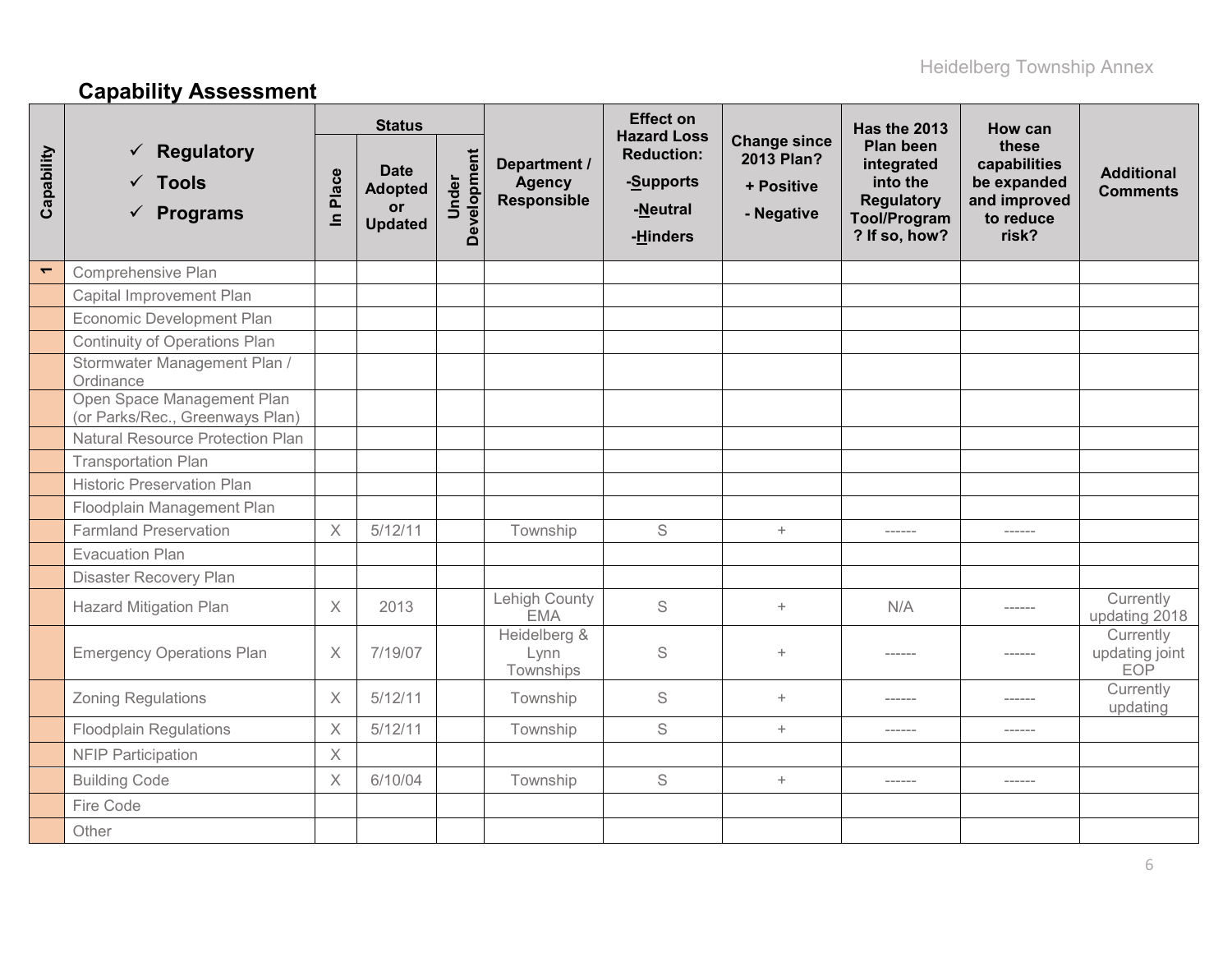# **Capability Assessment**

|                          |                                                                                |                       | <b>Status</b>                                         |                      |                                                     | <b>Effect on</b><br><b>Hazard Loss</b>                 |                                                               | Has the 2013                                                                                            | How can                                                                    |                                           |
|--------------------------|--------------------------------------------------------------------------------|-----------------------|-------------------------------------------------------|----------------------|-----------------------------------------------------|--------------------------------------------------------|---------------------------------------------------------------|---------------------------------------------------------------------------------------------------------|----------------------------------------------------------------------------|-------------------------------------------|
| Capability               | $\checkmark$ Regulatory<br>$\sqrt{\phantom{a}}$ Tools<br>$\checkmark$ Programs | Place<br>$\mathbf{a}$ | <b>Date</b><br><b>Adopted</b><br>or<br><b>Updated</b> | Development<br>Under | Department /<br><b>Agency</b><br><b>Responsible</b> | <b>Reduction:</b><br>-Supports<br>-Neutral<br>-Hinders | <b>Change since</b><br>2013 Plan?<br>+ Positive<br>- Negative | <b>Plan been</b><br>integrated<br>into the<br><b>Regulatory</b><br><b>Tool/Program</b><br>? If so, how? | these<br>capabilities<br>be expanded<br>and improved<br>to reduce<br>risk? | <b>Additional</b><br><b>Comments</b>      |
| $\overline{\phantom{0}}$ | Comprehensive Plan                                                             |                       |                                                       |                      |                                                     |                                                        |                                                               |                                                                                                         |                                                                            |                                           |
|                          | Capital Improvement Plan                                                       |                       |                                                       |                      |                                                     |                                                        |                                                               |                                                                                                         |                                                                            |                                           |
|                          | Economic Development Plan                                                      |                       |                                                       |                      |                                                     |                                                        |                                                               |                                                                                                         |                                                                            |                                           |
|                          | <b>Continuity of Operations Plan</b>                                           |                       |                                                       |                      |                                                     |                                                        |                                                               |                                                                                                         |                                                                            |                                           |
|                          | Stormwater Management Plan /<br>Ordinance                                      |                       |                                                       |                      |                                                     |                                                        |                                                               |                                                                                                         |                                                                            |                                           |
|                          | Open Space Management Plan<br>(or Parks/Rec., Greenways Plan)                  |                       |                                                       |                      |                                                     |                                                        |                                                               |                                                                                                         |                                                                            |                                           |
|                          | <b>Natural Resource Protection Plan</b>                                        |                       |                                                       |                      |                                                     |                                                        |                                                               |                                                                                                         |                                                                            |                                           |
|                          | <b>Transportation Plan</b>                                                     |                       |                                                       |                      |                                                     |                                                        |                                                               |                                                                                                         |                                                                            |                                           |
|                          | <b>Historic Preservation Plan</b>                                              |                       |                                                       |                      |                                                     |                                                        |                                                               |                                                                                                         |                                                                            |                                           |
|                          | Floodplain Management Plan                                                     |                       |                                                       |                      |                                                     |                                                        |                                                               |                                                                                                         |                                                                            |                                           |
|                          | <b>Farmland Preservation</b>                                                   | $\times$              | 5/12/11                                               |                      | Township                                            | S                                                      | $+$                                                           | ------                                                                                                  | $- - - - - -$                                                              |                                           |
|                          | <b>Evacuation Plan</b>                                                         |                       |                                                       |                      |                                                     |                                                        |                                                               |                                                                                                         |                                                                            |                                           |
|                          | <b>Disaster Recovery Plan</b>                                                  |                       |                                                       |                      |                                                     |                                                        |                                                               |                                                                                                         |                                                                            |                                           |
|                          | <b>Hazard Mitigation Plan</b>                                                  | $\times$              | 2013                                                  |                      | Lehigh County<br><b>EMA</b>                         | S                                                      | $+$                                                           | N/A                                                                                                     | $- - - - - -$                                                              | Currently<br>updating 2018                |
|                          | <b>Emergency Operations Plan</b>                                               | $\times$              | 7/19/07                                               |                      | Heidelberg &<br>Lynn<br>Townships                   | S                                                      | $+$                                                           | ------                                                                                                  | ------                                                                     | Currently<br>updating joint<br><b>EOP</b> |
|                          | <b>Zoning Regulations</b>                                                      | $\times$              | 5/12/11                                               |                      | Township                                            | $\mathbb S$                                            | $+$                                                           | ------                                                                                                  | ------                                                                     | Currently<br>updating                     |
|                          | <b>Floodplain Regulations</b>                                                  | $\times$              | 5/12/11                                               |                      | Township                                            | S                                                      | $+$                                                           | ------                                                                                                  |                                                                            |                                           |
|                          | <b>NFIP Participation</b>                                                      | $\times$              |                                                       |                      |                                                     |                                                        |                                                               |                                                                                                         |                                                                            |                                           |
|                          | <b>Building Code</b>                                                           | X                     | 6/10/04                                               |                      | Township                                            | S                                                      | $+$                                                           | ------                                                                                                  | $- - - - - - -$                                                            |                                           |
|                          | Fire Code                                                                      |                       |                                                       |                      |                                                     |                                                        |                                                               |                                                                                                         |                                                                            |                                           |
|                          | Other                                                                          |                       |                                                       |                      |                                                     |                                                        |                                                               |                                                                                                         |                                                                            |                                           |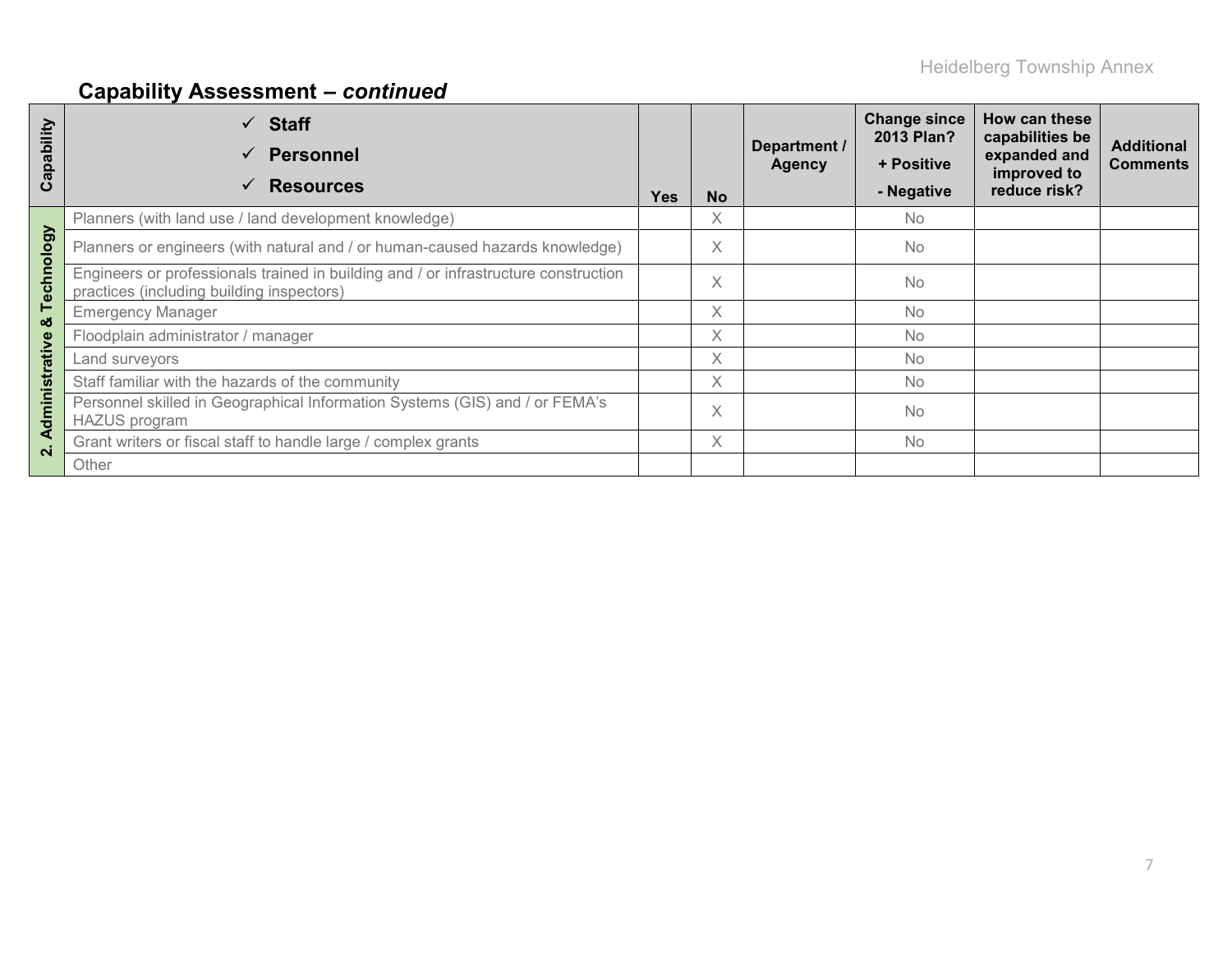# **Capability Assessment –** *continued*

| Capability        | $\checkmark$ Staff<br><b>Personnel</b><br>✓<br><b>Resources</b><br>✓                                                             | <b>Yes</b> | <b>No</b> | Department /<br><b>Agency</b> | <b>Change since</b><br>2013 Plan?<br>+ Positive<br>- Negative | How can these<br>capabilities be<br>expanded and<br>improved to<br>reduce risk? | <b>Additional</b><br><b>Comments</b> |
|-------------------|----------------------------------------------------------------------------------------------------------------------------------|------------|-----------|-------------------------------|---------------------------------------------------------------|---------------------------------------------------------------------------------|--------------------------------------|
|                   | Planners (with land use / land development knowledge)                                                                            |            | X.        |                               | <b>No</b>                                                     |                                                                                 |                                      |
|                   | Planners or engineers (with natural and / or human-caused hazards knowledge)                                                     |            | X         |                               | <b>No</b>                                                     |                                                                                 |                                      |
| Technology        | Engineers or professionals trained in building and / or infrastructure construction<br>practices (including building inspectors) |            | X         |                               | <b>No</b>                                                     |                                                                                 |                                      |
| ఱ                 | <b>Emergency Manager</b>                                                                                                         |            | X.        |                               | <b>No</b>                                                     |                                                                                 |                                      |
|                   | Floodplain administrator / manager                                                                                               |            | X.        |                               | <b>No</b>                                                     |                                                                                 |                                      |
|                   | Land surveyors                                                                                                                   |            | X.        |                               | <b>No</b>                                                     |                                                                                 |                                      |
|                   | Staff familiar with the hazards of the community                                                                                 |            | X.        |                               | <b>No</b>                                                     |                                                                                 |                                      |
| dministrative     | Personnel skilled in Geographical Information Systems (GIS) and / or FEMA's<br><b>HAZUS</b> program                              |            | X         |                               | <b>No</b>                                                     |                                                                                 |                                      |
| ⋖<br>$\mathbf{N}$ | Grant writers or fiscal staff to handle large / complex grants                                                                   |            | $\times$  |                               | <b>No</b>                                                     |                                                                                 |                                      |
|                   | Other                                                                                                                            |            |           |                               |                                                               |                                                                                 |                                      |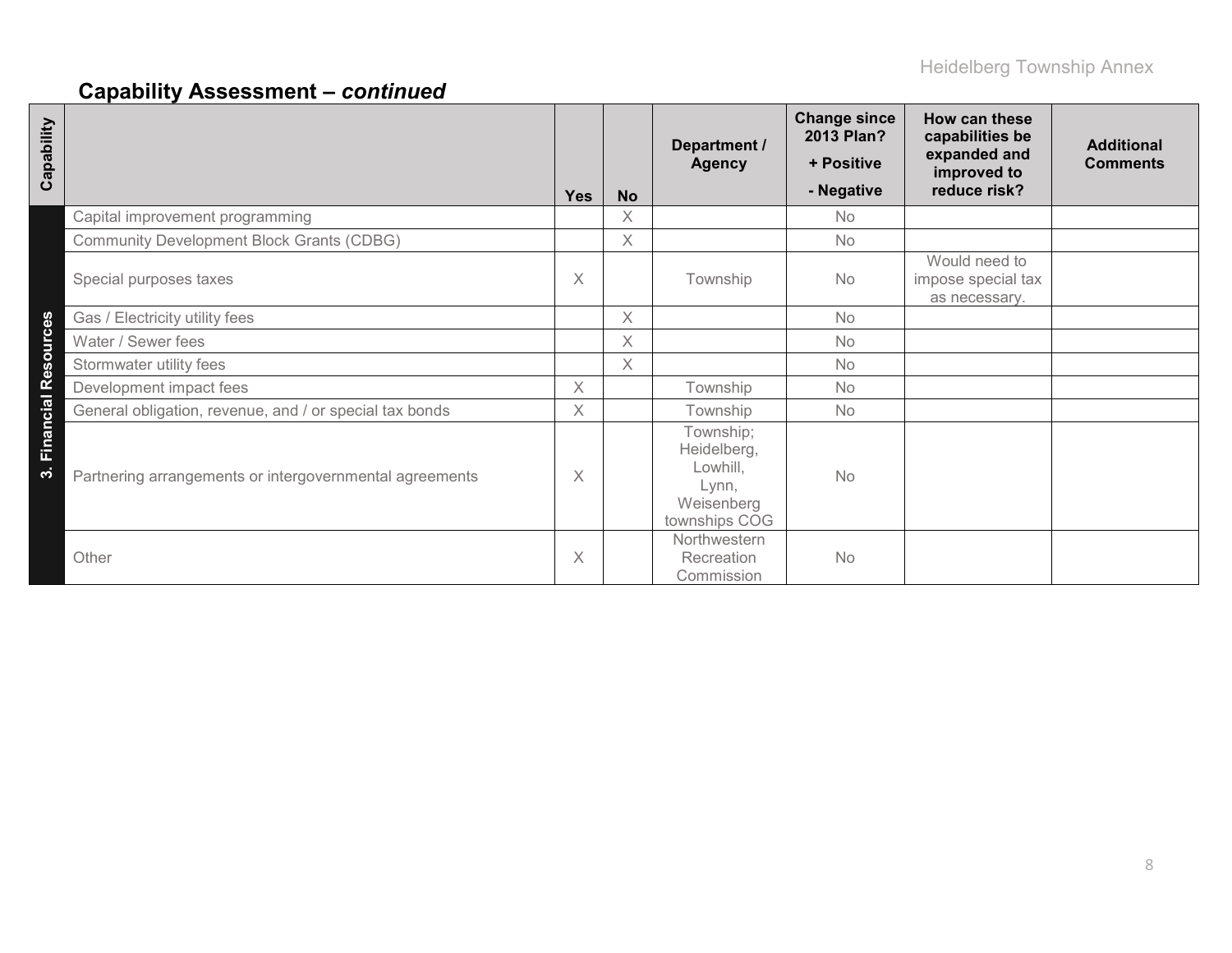# **Capability Assessment –** *continued*

| Capability               |                                                         | <b>Yes</b> | <b>No</b> | Department /<br><b>Agency</b>                                                | <b>Change since</b><br>2013 Plan?<br>+ Positive<br>- Negative | How can these<br>capabilities be<br>expanded and<br>improved to<br>reduce risk? | <b>Additional</b><br><b>Comments</b> |
|--------------------------|---------------------------------------------------------|------------|-----------|------------------------------------------------------------------------------|---------------------------------------------------------------|---------------------------------------------------------------------------------|--------------------------------------|
|                          | Capital improvement programming                         |            | X         |                                                                              | <b>No</b>                                                     |                                                                                 |                                      |
|                          | <b>Community Development Block Grants (CDBG)</b>        |            | X         |                                                                              | <b>No</b>                                                     |                                                                                 |                                      |
|                          | Special purposes taxes                                  | $\times$   |           | Township                                                                     | No                                                            | Would need to<br>impose special tax<br>as necessary.                            |                                      |
|                          | Gas / Electricity utility fees                          |            | X         |                                                                              | <b>No</b>                                                     |                                                                                 |                                      |
|                          | Water / Sewer fees                                      |            | X         |                                                                              | No                                                            |                                                                                 |                                      |
|                          | Stormwater utility fees                                 |            | X         |                                                                              | No                                                            |                                                                                 |                                      |
|                          | Development impact fees                                 | $\times$   |           | Township                                                                     | <b>No</b>                                                     |                                                                                 |                                      |
|                          | General obligation, revenue, and / or special tax bonds | $\times$   |           | Township                                                                     | <b>No</b>                                                     |                                                                                 |                                      |
| Financial Resources<br>က | Partnering arrangements or intergovernmental agreements | X          |           | Township;<br>Heidelberg,<br>Lowhill,<br>Lynn,<br>Weisenberg<br>townships COG | <b>No</b>                                                     |                                                                                 |                                      |
|                          | Other                                                   | X          |           | Northwestern<br>Recreation<br>Commission                                     | No                                                            |                                                                                 |                                      |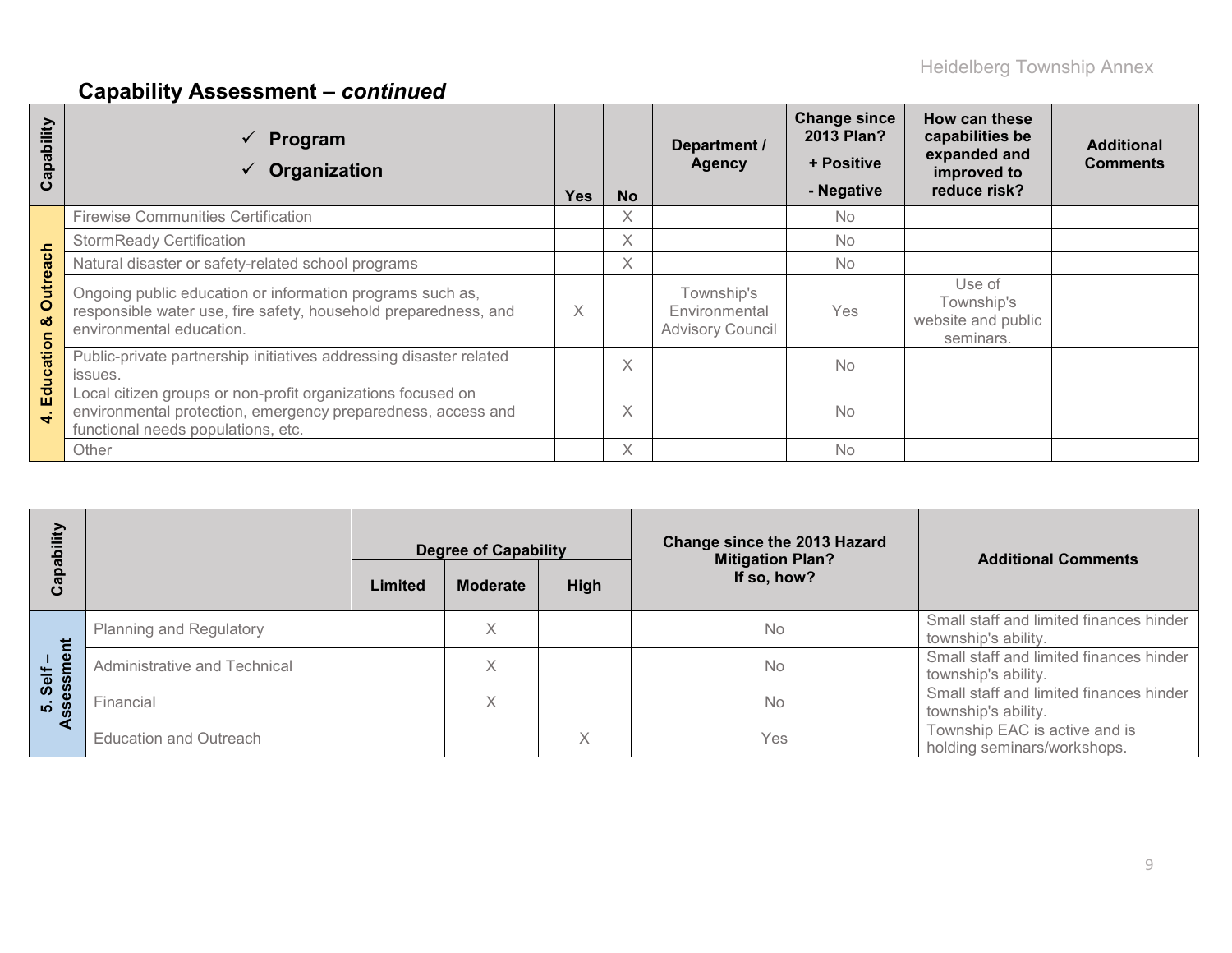# **Capability Assessment –** *continued*

| ability<br>Cap        | Program<br>Organization                                                                                                                                           | Yes | <b>No</b> | Department /<br><b>Agency</b>                          | <b>Change since</b><br>2013 Plan?<br>+ Positive<br>- Negative | How can these<br>capabilities be<br>expanded and<br>improved to<br>reduce risk? | <b>Additional</b><br><b>Comments</b> |
|-----------------------|-------------------------------------------------------------------------------------------------------------------------------------------------------------------|-----|-----------|--------------------------------------------------------|---------------------------------------------------------------|---------------------------------------------------------------------------------|--------------------------------------|
|                       | <b>Firewise Communities Certification</b>                                                                                                                         |     | X         |                                                        | <b>No</b>                                                     |                                                                                 |                                      |
|                       | <b>StormReady Certification</b>                                                                                                                                   |     | X         |                                                        | No.                                                           |                                                                                 |                                      |
|                       | Natural disaster or safety-related school programs                                                                                                                |     | X         |                                                        | <b>No</b>                                                     |                                                                                 |                                      |
| <b>Outreach</b><br>οö | Ongoing public education or information programs such as,<br>responsible water use, fire safety, household preparedness, and<br>environmental education.          | X   |           | Township's<br>Environmental<br><b>Advisory Council</b> | Yes                                                           | Use of<br>Township's<br>website and public<br>seminars.                         |                                      |
| ation                 | Public-private partnership initiatives addressing disaster related<br>issues.                                                                                     |     | $\times$  |                                                        | <b>No</b>                                                     |                                                                                 |                                      |
| Educ<br>$\ddot{ }$    | Local citizen groups or non-profit organizations focused on<br>environmental protection, emergency preparedness, access and<br>functional needs populations, etc. |     | X         |                                                        | <b>No</b>                                                     |                                                                                 |                                      |
|                       | Other                                                                                                                                                             |     | X         |                                                        | No                                                            |                                                                                 |                                      |

| ξĪ                                        |                              |                                                   | <b>Degree of Capability</b> |   | <b>Change since the 2013 Hazard</b><br><b>Mitigation Plan?</b> | <b>Additional Comments</b>                                     |
|-------------------------------------------|------------------------------|---------------------------------------------------|-----------------------------|---|----------------------------------------------------------------|----------------------------------------------------------------|
| ت                                         |                              | If so, how?<br>High<br>Limited<br><b>Moderate</b> |                             |   |                                                                |                                                                |
| $\mathbf{\underline{\Phi}}$<br>Self<br>ທ່ | Planning and Regulatory      |                                                   | X                           |   | <b>No</b>                                                      | Small staff and limited finances hinder<br>township's ability. |
|                                           | Administrative and Technical |                                                   | X                           |   | <b>No</b>                                                      | Small staff and limited finances hinder<br>township's ability. |
|                                           | Financial                    |                                                   | X                           |   | <b>No</b>                                                      | Small staff and limited finances hinder<br>township's ability. |
|                                           | Education and Outreach       |                                                   |                             | X | Yes                                                            | Township EAC is active and is<br>holding seminars/workshops.   |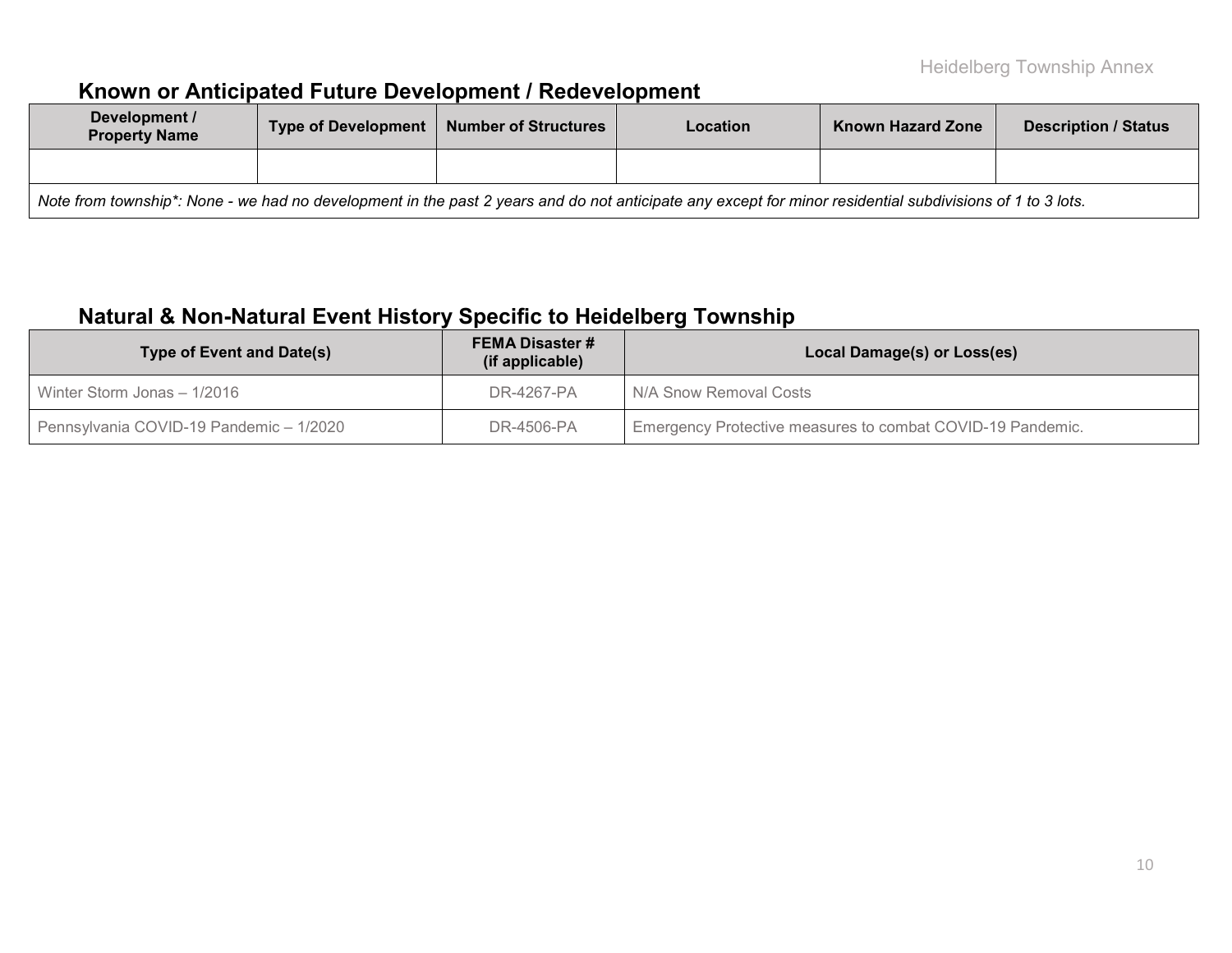# **Known or Anticipated Future Development / Redevelopment**

| Development /<br><b>Property Name</b>                                                                                                                     |  | Type of Development   Number of Structures |  | <b>Known Hazard Zone</b> | <b>Description / Status</b> |  |  |  |  |
|-----------------------------------------------------------------------------------------------------------------------------------------------------------|--|--------------------------------------------|--|--------------------------|-----------------------------|--|--|--|--|
|                                                                                                                                                           |  |                                            |  |                          |                             |  |  |  |  |
| Note from township*: None - we had no development in the past 2 years and do not anticipate any except for minor residential subdivisions of 1 to 3 lots. |  |                                            |  |                          |                             |  |  |  |  |

# **Natural & Non-Natural Event History Specific to Heidelberg Township**

| <b>Type of Event and Date(s)</b>        | <b>FEMA Disaster #</b><br>(if applicable) | Local Damage(s) or Loss(es)                                |  |  |  |
|-----------------------------------------|-------------------------------------------|------------------------------------------------------------|--|--|--|
| Winter Storm Jonas - 1/2016             | DR-4267-PA                                | N/A Snow Removal Costs                                     |  |  |  |
| Pennsylvania COVID-19 Pandemic - 1/2020 | DR-4506-PA                                | Emergency Protective measures to combat COVID-19 Pandemic. |  |  |  |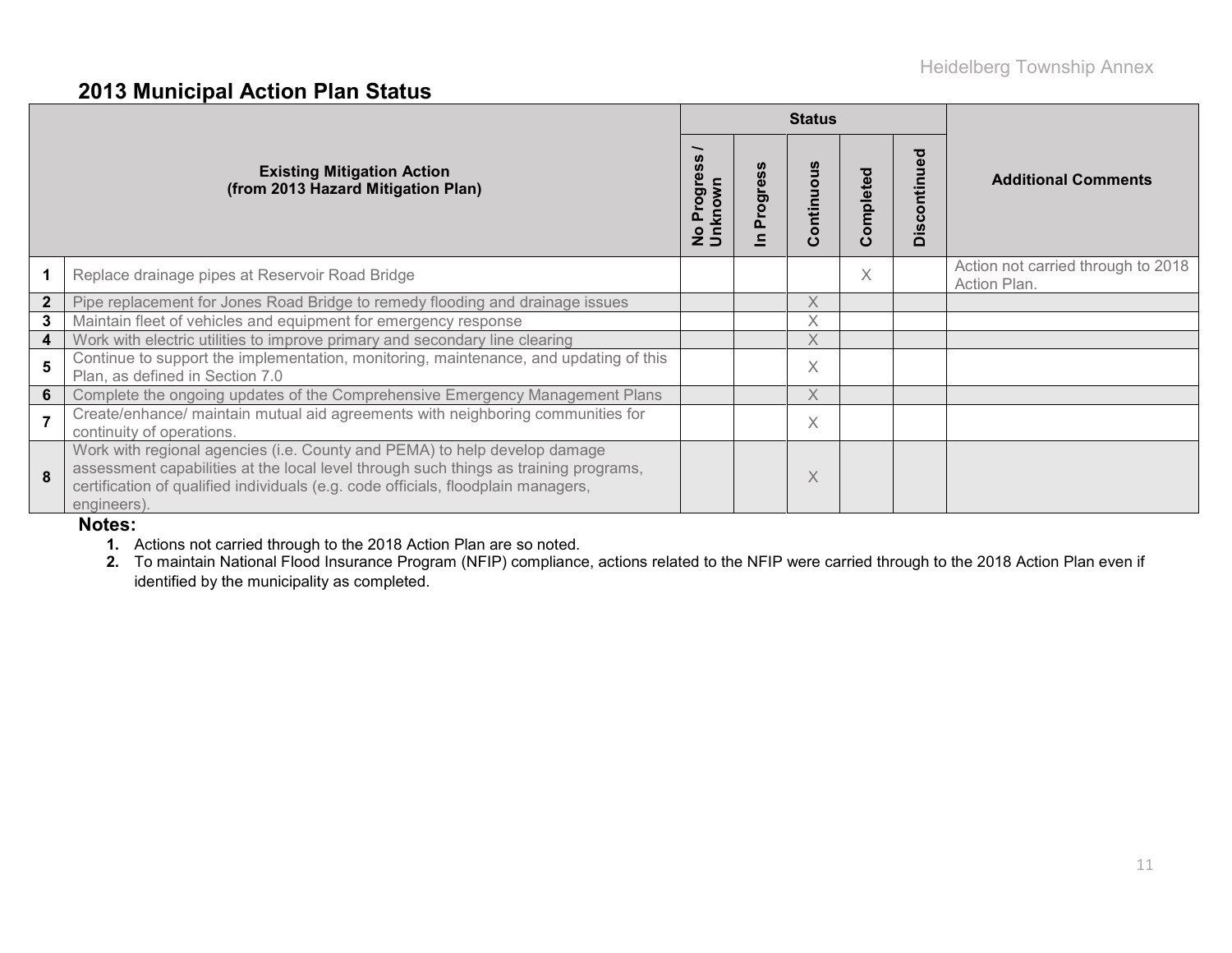### **2013 Municipal Action Plan Status**

|                |                                                                                                                                                                                                                                                                       |                      |          | <b>Status</b> |           |                                   |                                                    |
|----------------|-----------------------------------------------------------------------------------------------------------------------------------------------------------------------------------------------------------------------------------------------------------------------|----------------------|----------|---------------|-----------|-----------------------------------|----------------------------------------------------|
|                | <b>Existing Mitigation Action</b><br>(from 2013 Hazard Mitigation Plan)                                                                                                                                                                                               | No Progre<br>Unknown | Progress | Continuous    | Completed | ಠ<br>£<br>$\mathbf c$<br>$\Omega$ | <b>Additional Comments</b>                         |
|                | Replace drainage pipes at Reservoir Road Bridge                                                                                                                                                                                                                       |                      |          |               | $\times$  |                                   | Action not carried through to 2018<br>Action Plan. |
|                | Pipe replacement for Jones Road Bridge to remedy flooding and drainage issues                                                                                                                                                                                         |                      |          | X             |           |                                   |                                                    |
| 3 <sup>1</sup> | Maintain fleet of vehicles and equipment for emergency response                                                                                                                                                                                                       |                      |          | Χ             |           |                                   |                                                    |
|                | Work with electric utilities to improve primary and secondary line clearing                                                                                                                                                                                           |                      |          | X             |           |                                   |                                                    |
| 5              | Continue to support the implementation, monitoring, maintenance, and updating of this<br>Plan, as defined in Section 7.0                                                                                                                                              |                      |          | X             |           |                                   |                                                    |
| 6 <sup>1</sup> | Complete the ongoing updates of the Comprehensive Emergency Management Plans                                                                                                                                                                                          |                      |          | $\times$      |           |                                   |                                                    |
|                | Create/enhance/ maintain mutual aid agreements with neighboring communities for<br>continuity of operations.                                                                                                                                                          |                      |          | X.            |           |                                   |                                                    |
| 8              | Work with regional agencies (i.e. County and PEMA) to help develop damage<br>assessment capabilities at the local level through such things as training programs,<br>certification of qualified individuals (e.g. code officials, floodplain managers,<br>engineers). |                      |          | Χ             |           |                                   |                                                    |

#### **Notes:**

- **1.** Actions not carried through to the 2018 Action Plan are so noted.
- **2.** To maintain National Flood Insurance Program (NFIP) compliance, actions related to the NFIP were carried through to the 2018 Action Plan even if identified by the municipality as completed.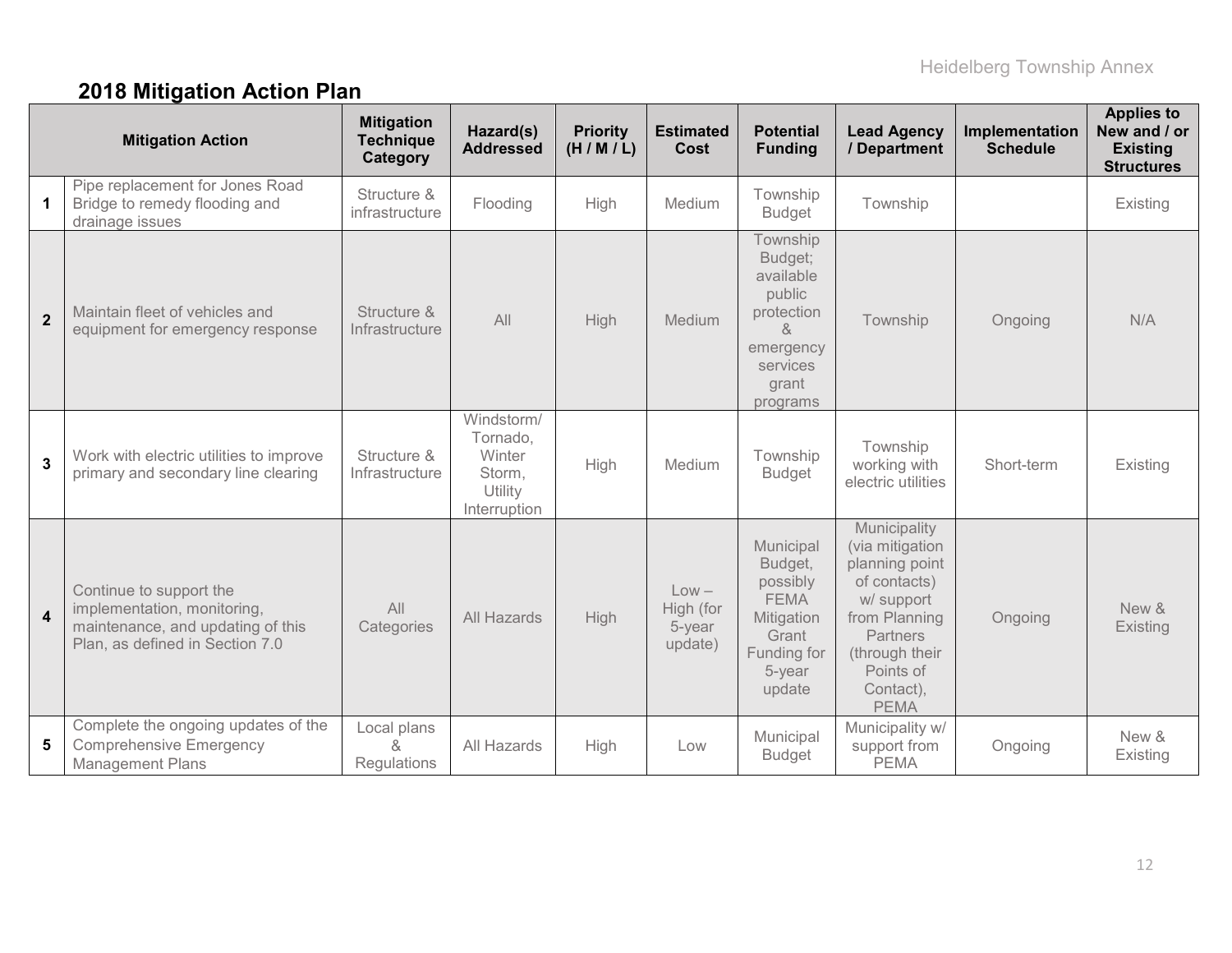# **2018 Mitigation Action Plan**

|                         | <b>Mitigation Action</b>                                                                                                       | <b>Mitigation</b><br><b>Technique</b><br>Category | Hazard(s)<br><b>Addressed</b>                                         | <b>Priority</b><br>(H/M/L) | <b>Estimated</b><br><b>Cost</b>           | <b>Potential</b><br><b>Funding</b>                                                                          | <b>Lead Agency</b><br>/ Department                                                                                                                                             | Implementation<br><b>Schedule</b> | <b>Applies to</b><br>New and / or<br><b>Existing</b><br><b>Structures</b> |
|-------------------------|--------------------------------------------------------------------------------------------------------------------------------|---------------------------------------------------|-----------------------------------------------------------------------|----------------------------|-------------------------------------------|-------------------------------------------------------------------------------------------------------------|--------------------------------------------------------------------------------------------------------------------------------------------------------------------------------|-----------------------------------|---------------------------------------------------------------------------|
| $\mathbf 1$             | Pipe replacement for Jones Road<br>Bridge to remedy flooding and<br>drainage issues                                            | Structure &<br>infrastructure                     | Flooding                                                              | High                       | Medium                                    | Township<br><b>Budget</b>                                                                                   | Township                                                                                                                                                                       |                                   | Existing                                                                  |
| $\mathbf{2}$            | Maintain fleet of vehicles and<br>equipment for emergency response                                                             | Structure &<br>Infrastructure                     | All                                                                   | <b>High</b>                | Medium                                    | Township<br>Budget;<br>available<br>public<br>protection<br>&<br>emergency<br>services<br>grant<br>programs | Township                                                                                                                                                                       | Ongoing                           | N/A                                                                       |
| $\mathbf{3}$            | Work with electric utilities to improve<br>primary and secondary line clearing                                                 | Structure &<br>Infrastructure                     | Windstorm/<br>Tornado,<br>Winter<br>Storm,<br>Utility<br>Interruption | High                       | Medium                                    | Township<br><b>Budget</b>                                                                                   | Township<br>working with<br>electric utilities                                                                                                                                 | Short-term                        | Existing                                                                  |
| $\overline{\mathbf{4}}$ | Continue to support the<br>implementation, monitoring,<br>maintenance, and updating of this<br>Plan, as defined in Section 7.0 | All<br>Categories                                 | All Hazards                                                           | High                       | $Low -$<br>High (for<br>5-year<br>update) | Municipal<br>Budget,<br>possibly<br><b>FEMA</b><br>Mitigation<br>Grant<br>Funding for<br>5-year<br>update   | Municipality<br>(via mitigation<br>planning point<br>of contacts)<br>w/ support<br>from Planning<br><b>Partners</b><br>(through their<br>Points of<br>Contact),<br><b>PEMA</b> | Ongoing                           | New &<br>Existing                                                         |
| 5                       | Complete the ongoing updates of the<br><b>Comprehensive Emergency</b><br><b>Management Plans</b>                               | Local plans<br>&<br><b>Regulations</b>            | All Hazards                                                           | High                       | Low                                       | Municipal<br><b>Budget</b>                                                                                  | Municipality w/<br>support from<br><b>PEMA</b>                                                                                                                                 | Ongoing                           | New &<br>Existing                                                         |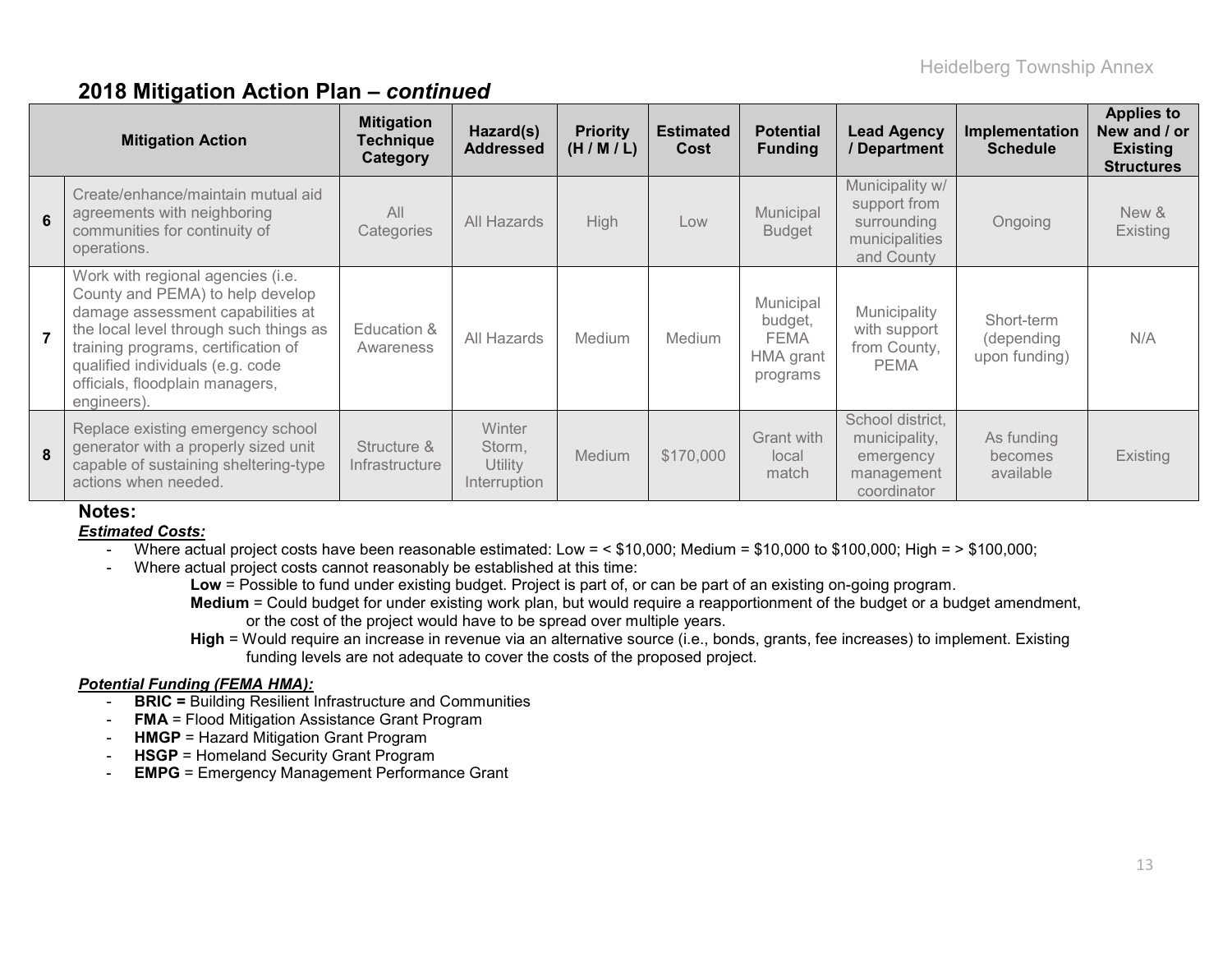### **2018 Mitigation Action Plan –** *continued*

|   | <b>Mitigation Action</b>                                                                                                                                                                                                                                                          | <b>Mitigation</b><br><b>Technique</b><br>Category | Hazard(s)<br><b>Addressed</b>                      | <b>Priority</b><br>(H/M/L) | <b>Estimated</b><br>Cost | <b>Potential</b><br><b>Funding</b>                           | <b>Lead Agency</b><br>/ Department                                             | Implementation<br><b>Schedule</b>         | <b>Applies to</b><br>New and / or<br><b>Existing</b><br><b>Structures</b> |
|---|-----------------------------------------------------------------------------------------------------------------------------------------------------------------------------------------------------------------------------------------------------------------------------------|---------------------------------------------------|----------------------------------------------------|----------------------------|--------------------------|--------------------------------------------------------------|--------------------------------------------------------------------------------|-------------------------------------------|---------------------------------------------------------------------------|
| 6 | Create/enhance/maintain mutual aid<br>agreements with neighboring<br>communities for continuity of<br>operations.                                                                                                                                                                 | All<br>Categories                                 | All Hazards                                        | <b>High</b>                | Low                      | Municipal<br><b>Budget</b>                                   | Municipality w/<br>support from<br>surrounding<br>municipalities<br>and County | Ongoing                                   | New &<br>Existing                                                         |
|   | Work with regional agencies (i.e.<br>County and PEMA) to help develop<br>damage assessment capabilities at<br>the local level through such things as<br>training programs, certification of<br>qualified individuals (e.g. code<br>officials, floodplain managers,<br>engineers). | Education &<br>Awareness                          | All Hazards                                        | Medium                     | <b>Medium</b>            | Municipal<br>budget,<br><b>FEMA</b><br>HMA grant<br>programs | Municipality<br>with support<br>from County,<br><b>PEMA</b>                    | Short-term<br>(depending<br>upon funding) | N/A                                                                       |
| 8 | Replace existing emergency school<br>generator with a properly sized unit<br>capable of sustaining sheltering-type<br>actions when needed.                                                                                                                                        | Structure &<br>Infrastructure                     | <b>Winter</b><br>Storm,<br>Utility<br>Interruption | Medium                     | \$170,000                | Grant with<br>local<br>match                                 | School district.<br>municipality,<br>emergency<br>management<br>coordinator    | As funding<br>becomes<br>available        | <b>Existing</b>                                                           |

#### **Notes:**

#### *Estimated Costs:*

- Where actual project costs have been reasonable estimated: Low = < \$10,000; Medium = \$10,000 to \$100,000; High = > \$100,000;

- Where actual project costs cannot reasonably be established at this time:

**Low** = Possible to fund under existing budget. Project is part of, or can be part of an existing on-going program. **Medium** = Could budget for under existing work plan, but would require a reapportionment of the budget or a budget amendment,

or the cost of the project would have to be spread over multiple years.

**High** = Would require an increase in revenue via an alternative source (i.e., bonds, grants, fee increases) to implement. Existing funding levels are not adequate to cover the costs of the proposed project.

#### *Potential Funding (FEMA HMA):*

- **BRIC =** Building Resilient Infrastructure and Communities
- **FMA** = Flood Mitigation Assistance Grant Program
- **HMGP** = Hazard Mitigation Grant Program
- **HSGP** = Homeland Security Grant Program
- **EMPG** = Emergency Management Performance Grant